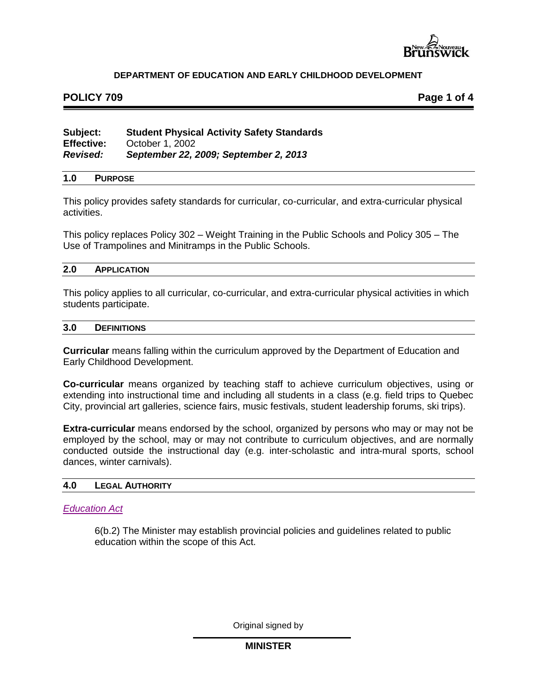

# **POLICY 709 Page 1 of 4**

# **Subject: Student Physical Activity Safety Standards Effective:** October 1, 2002<br>Revised: September 22.2 *Revised: September 22, 2009; September 2, 2013*

#### **1.0 PURPOSE**

This policy provides safety standards for curricular, co-curricular, and extra-curricular physical activities.

This policy replaces Policy 302 *–* Weight Training in the Public Schools and Policy 305 – The Use of Trampolines and Minitramps in the Public Schools.

#### **2.0 APPLICATION**

This policy applies to all curricular, co-curricular, and extra-curricular physical activities in which students participate.

#### **3.0 DEFINITIONS**

**Curricular** means falling within the curriculum approved by the Department of Education and Early Childhood Development.

**Co-curricular** means organized by teaching staff to achieve curriculum objectives, using or extending into instructional time and including all students in a class (e.g. field trips to Quebec City, provincial art galleries, science fairs, music festivals, student leadership forums, ski trips).

**Extra-curricular** means endorsed by the school, organized by persons who may or may not be employed by the school, may or may not contribute to curriculum objectives, and are normally conducted outside the instructional day (e.g. inter-scholastic and intra-mural sports, school dances, winter carnivals).

#### **4.0 LEGAL AUTHORITY**

#### *[Education Act](http://laws.gnb.ca/en/ShowPdf/cs/E-1.12.pdf)*

6(b.2) The Minister may establish provincial policies and guidelines related to public education within the scope of this Act.

Original signed by

## **MINISTER**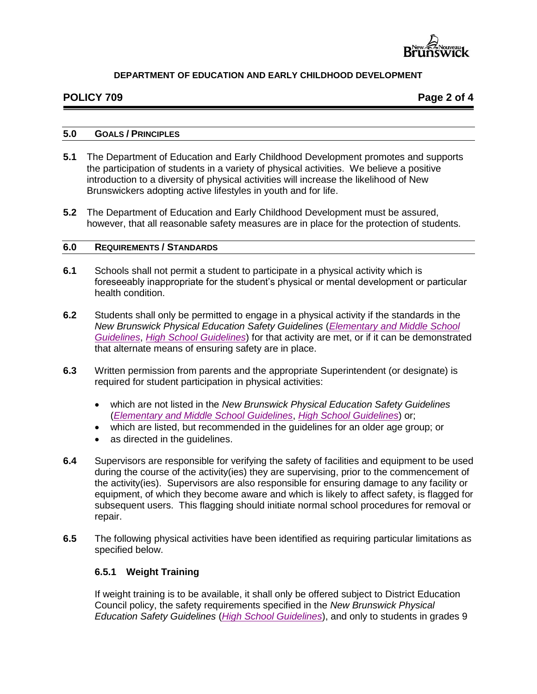

# **POLICY 709 Page 2 of 4**

#### **5.0 GOALS / PRINCIPLES**

- **5.1** The Department of Education and Early Childhood Development promotes and supports the participation of students in a variety of physical activities. We believe a positive introduction to a diversity of physical activities will increase the likelihood of New Brunswickers adopting active lifestyles in youth and for life.
- **5.2** The Department of Education and Early Childhood Development must be assured, however, that all reasonable safety measures are in place for the protection of students.

#### **6.0 REQUIREMENTS / STANDARDS**

- **6.1** Schools shall not permit a student to participate in a physical activity which is foreseeably inappropriate for the student's physical or mental development or particular health condition.
- **6.2** Students shall only be permitted to engage in a physical activity if the standards in the *New Brunswick Physical Education Safety Guidelines* (*[Elementary and Middle School](http://www2.gnb.ca/content/gnb/en/departments/education/k12/content/anglophone_sector/curriculum_anglophone.html)  [Guidelines](http://www2.gnb.ca/content/gnb/en/departments/education/k12/content/anglophone_sector/curriculum_anglophone.html)*, *[High School Guidelines](http://www2.gnb.ca/content/gnb/en/departments/education/k12/content/anglophone_sector/curriculum_anglophone.html)*) for that activity are met, or if it can be demonstrated that alternate means of ensuring safety are in place.
- **6.3** Written permission from parents and the appropriate Superintendent (or designate) is required for student participation in physical activities:
	- which are not listed in the *New Brunswick Physical Education Safety Guidelines*  (*[Elementary and Middle School Guidelines](http://www2.gnb.ca/content/gnb/en/departments/education/k12/content/anglophone_sector/curriculum_anglophone.html)*, *[High School Guidelines](http://www2.gnb.ca/content/gnb/en/departments/education/k12/content/anglophone_sector/curriculum_anglophone.html)*) or;
	- which are listed, but recommended in the guidelines for an older age group; or
	- as directed in the guidelines.
- **6.4** Supervisors are responsible for verifying the safety of facilities and equipment to be used during the course of the activity(ies) they are supervising, prior to the commencement of the activity(ies). Supervisors are also responsible for ensuring damage to any facility or equipment, of which they become aware and which is likely to affect safety, is flagged for subsequent users. This flagging should initiate normal school procedures for removal or repair.
- **6.5** The following physical activities have been identified as requiring particular limitations as specified below.

## **6.5.1 Weight Training**

If weight training is to be available, it shall only be offered subject to District Education Council policy, the safety requirements specified in the *New Brunswick Physical Education Safety Guidelines* (*[High School Guidelines](http://www2.gnb.ca/content/gnb/en/departments/education/k12/content/anglophone_sector/curriculum_anglophone.html)*), and only to students in grades 9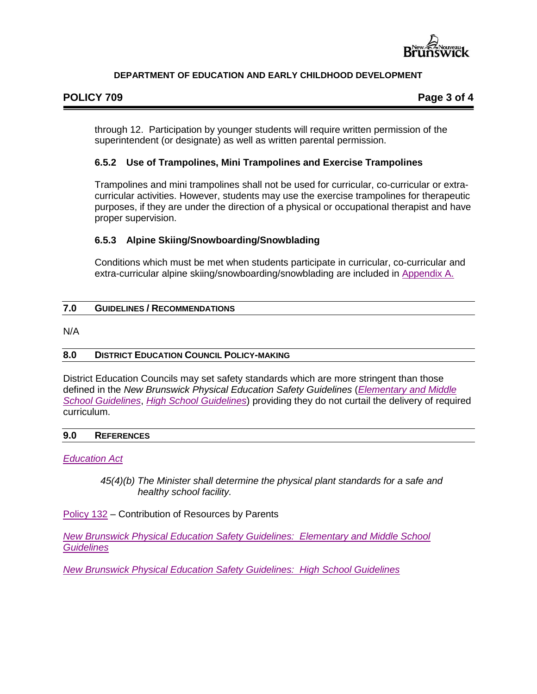

# **POLICY 709 Page 3 of 4**

through 12. Participation by younger students will require written permission of the superintendent (or designate) as well as written parental permission.

# **6.5.2 Use of Trampolines, Mini Trampolines and Exercise Trampolines**

Trampolines and mini trampolines shall not be used for curricular, co-curricular or extracurricular activities. However, students may use the exercise trampolines for therapeutic purposes, if they are under the direction of a physical or occupational therapist and have proper supervision.

# **6.5.3 Alpine Skiing/Snowboarding/Snowblading**

Conditions which must be met when students participate in curricular, co-curricular and extra-curricular alpine skiing/snowboarding/snowblading are included in [Appendix A.](http://www2.gnb.ca/content/dam/gnb/Departments/ed/pdf/K12/policies-politiques/e/709AA.pdf)

## **7.0 GUIDELINES / RECOMMENDATIONS**

N/A

## **8.0 DISTRICT EDUCATION COUNCIL POLICY-MAKING**

District Education Councils may set safety standards which are more stringent than those defined in the *New Brunswick Physical Education Safety Guidelines* (*[Elementary and Middle](http://www2.gnb.ca/content/gnb/en/departments/education/k12/content/anglophone_sector/curriculum_anglophone.html)  [School Guidelines](http://www2.gnb.ca/content/gnb/en/departments/education/k12/content/anglophone_sector/curriculum_anglophone.html)*, *[High School Guidelines](http://www2.gnb.ca/content/gnb/en/departments/education/k12/content/anglophone_sector/curriculum_anglophone.html)*) providing they do not curtail the delivery of required curriculum.

#### **9.0 REFERENCES**

## *[Education Act](http://laws.gnb.ca/en/ShowPdf/cs/E-1.12.pdf)*

*45(4)(b) The Minister shall determine the physical plant standards for a safe and healthy school facility.*

[Policy 132](http://www2.gnb.ca/content/dam/gnb/Departments/ed/pdf/K12/policies-politiques/e/132A.pdf) *–* Contribution of Resources by Parents

*[New Brunswick Physical Education Safety Guidelines: Elementary and Middle School](http://www2.gnb.ca/content/gnb/en/departments/education/k12/content/anglophone_sector/curriculum_anglophone.html)  [Guidelines](http://www2.gnb.ca/content/gnb/en/departments/education/k12/content/anglophone_sector/curriculum_anglophone.html)*

*[New Brunswick Physical Education Safety Guidelines: High School Guidelines](http://www2.gnb.ca/content/gnb/en/departments/education/k12/content/anglophone_sector/curriculum_anglophone.html)*